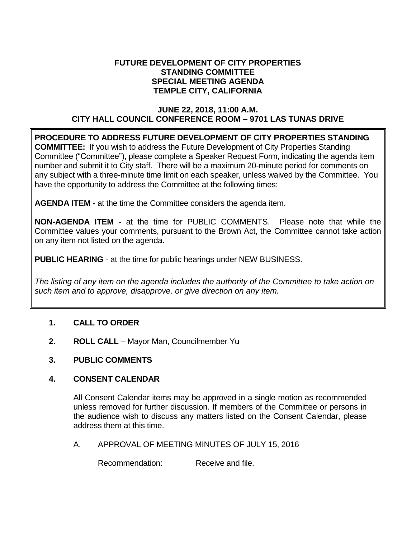#### **FUTURE DEVELOPMENT OF CITY PROPERTIES STANDING COMMITTEE SPECIAL MEETING AGENDA TEMPLE CITY, CALIFORNIA**

### **JUNE 22, 2018, 11:00 A.M. CITY HALL COUNCIL CONFERENCE ROOM – 9701 LAS TUNAS DRIVE**

**PROCEDURE TO ADDRESS FUTURE DEVELOPMENT OF CITY PROPERTIES STANDING COMMITTEE:** If you wish to address the Future Development of City Properties Standing Committee ("Committee"), please complete a Speaker Request Form, indicating the agenda item number and submit it to City staff. There will be a maximum 20-minute period for comments on any subject with a three-minute time limit on each speaker, unless waived by the Committee. You have the opportunity to address the Committee at the following times:

**AGENDA ITEM** - at the time the Committee considers the agenda item.

**NON-AGENDA ITEM** - at the time for PUBLIC COMMENTS. Please note that while the Committee values your comments, pursuant to the Brown Act, the Committee cannot take action on any item not listed on the agenda.

**PUBLIC HEARING** - at the time for public hearings under NEW BUSINESS.

*The listing of any item on the agenda includes the authority of the Committee to take action on such item and to approve, disapprove, or give direction on any item.*

# **1. CALL TO ORDER**

- **2. ROLL CALL** Mayor Man, Councilmember Yu
- **3. PUBLIC COMMENTS**

### **4. CONSENT CALENDAR**

All Consent Calendar items may be approved in a single motion as recommended unless removed for further discussion. If members of the Committee or persons in the audience wish to discuss any matters listed on the Consent Calendar, please address them at this time.

A. APPROVAL OF MEETING MINUTES OF JULY 15, 2016

Recommendation: Receive and file.